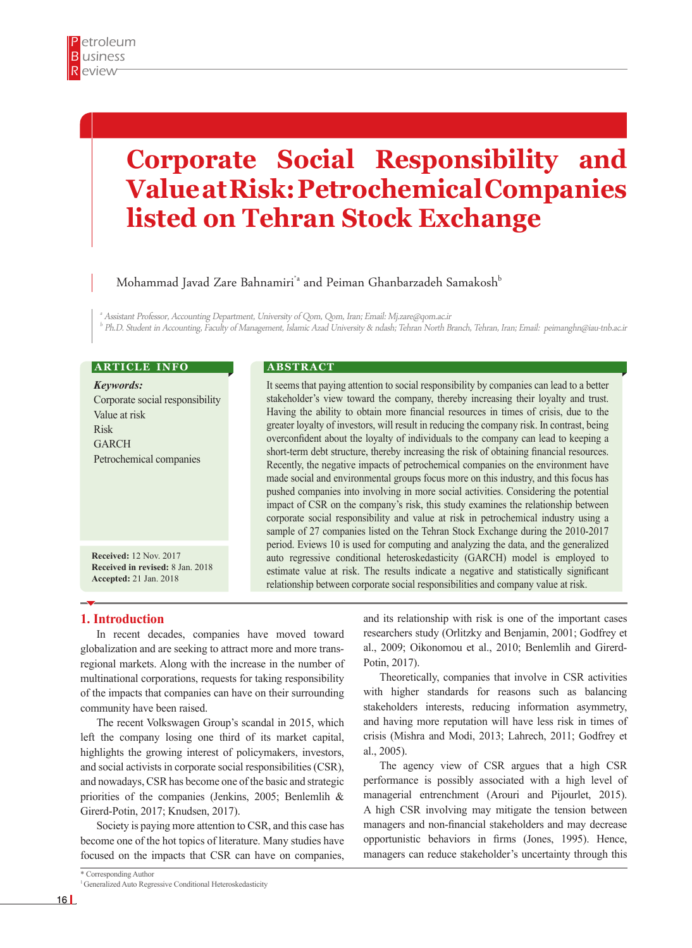# **Corporate Social Responsibility and Value at Risk: Petrochemical Companies listed on Tehran Stock Exchange**

Mohammad Javad Zare Bahnamiri<sup>\*</sup> and Peiman Ghanbarzadeh Samakosh<sup>b</sup>

a Assistant Professor, Accounting Department, University of Qom, Qom, Iran; Email: Mj.zare@qom.ac.ir b Ph.D. Student in Accounting, Faculty of Management, Islamic Azad University & ndash; Tehran North Branch, Tehran, Iran; Email: peimanghn@iau-tnb.ac.ir

## **ARTICLE INFO**

*Keywords:* Corporate social responsibility Value at risk Risk GARCH Petrochemical companies

**Received:** 12 Nov. 2017 **Received in revised:** 8 Jan. 2018 **Accepted:** 21 Jan. 2018

### **A B S T R A C T**

It seems that paying attention to social responsibility by companies can lead to a better stakeholder's view toward the company, thereby increasing their loyalty and trust. Having the ability to obtain more financial resources in times of crisis, due to the greater loyalty of investors, will result in reducing the company risk. In contrast, being overconfident about the loyalty of individuals to the company can lead to keeping a short-term debt structure, thereby increasing the risk of obtaining financial resources. Recently, the negative impacts of petrochemical companies on the environment have made social and environmental groups focus more on this industry, and this focus has pushed companies into involving in more social activities. Considering the potential impact of CSR on the company's risk, this study examines the relationship between corporate social responsibility and value at risk in petrochemical industry using a sample of 27 companies listed on the Tehran Stock Exchange during the 2010-2017 period. Eviews 10 is used for computing and analyzing the data, and the generalized auto regressive conditional heteroskedasticity (GARCH) model is employed to estimate value at risk. The results indicate a negative and statistically significant relationship between corporate social responsibilities and company value at risk.

## **1. Introduction**

In recent decades, companies have moved toward globalization and are seeking to attract more and more transregional markets. Along with the increase in the number of multinational corporations, requests for taking responsibility of the impacts that companies can have on their surrounding community have been raised.

The recent Volkswagen Group's scandal in 2015, which left the company losing one third of its market capital, highlights the growing interest of policymakers, investors, and social activists in corporate social responsibilities (CSR), and nowadays, CSR has become one of the basic and strategic priorities of the companies (Jenkins, 2005; Benlemlih & Girerd-Potin, 2017; Knudsen, 2017).

Society is paying more attention to CSR, and this case has become one of the hot topics of literature. Many studies have focused on the impacts that CSR can have on companies,

\* Corresponding Author

and its relationship with risk is one of the important cases researchers study (Orlitzky and Benjamin, 2001; Godfrey et al., 2009; Oikonomou et al., 2010; Benlemlih and Girerd-Potin, 2017).

Theoretically, companies that involve in CSR activities with higher standards for reasons such as balancing stakeholders interests, reducing information asymmetry, and having more reputation will have less risk in times of crisis (Mishra and Modi, 2013; Lahrech, 2011; Godfrey et al., 2005).

The agency view of CSR argues that a high CSR performance is possibly associated with a high level of managerial entrenchment (Arouri and Pijourlet, 2015). A high CSR involving may mitigate the tension between managers and non-financial stakeholders and may decrease opportunistic behaviors in firms (Jones, 1995). Hence, managers can reduce stakeholder's uncertainty through this

<sup>&</sup>lt;sup>1</sup> Generalized Auto Regressive Conditional Heteroskedasticity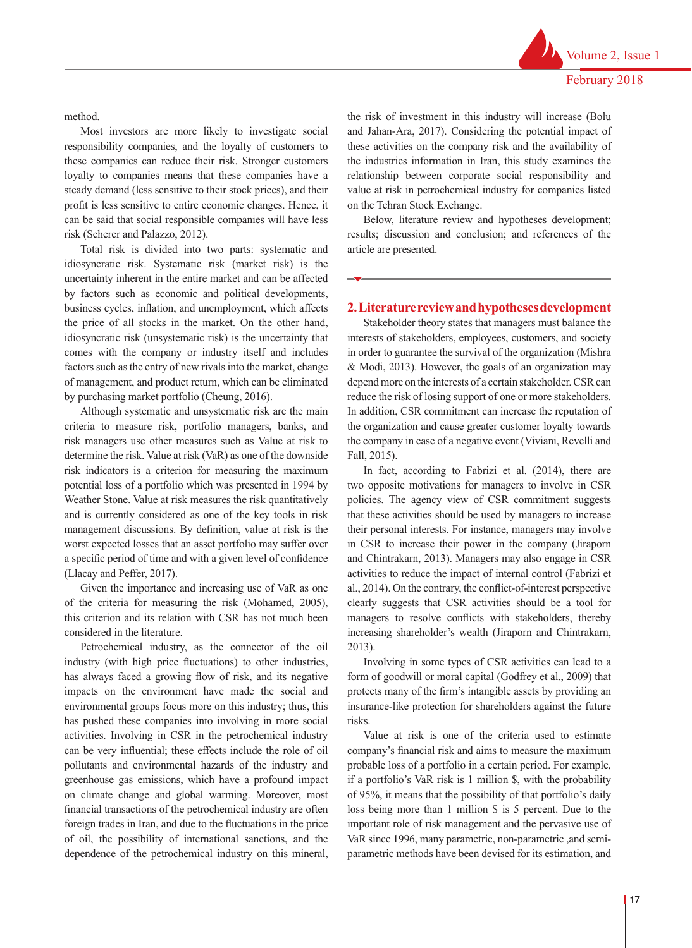Volume 2, Issue 1 February 2018

method.

Most investors are more likely to investigate social responsibility companies, and the loyalty of customers to these companies can reduce their risk. Stronger customers loyalty to companies means that these companies have a steady demand (less sensitive to their stock prices), and their profit is less sensitive to entire economic changes. Hence, it can be said that social responsible companies will have less risk (Scherer and Palazzo, 2012).

Total risk is divided into two parts: systematic and idiosyncratic risk. Systematic risk (market risk) is the uncertainty inherent in the entire market and can be affected by factors such as economic and political developments, business cycles, inflation, and unemployment, which affects the price of all stocks in the market. On the other hand, idiosyncratic risk (unsystematic risk) is the uncertainty that comes with the company or industry itself and includes factors such as the entry of new rivals into the market, change of management, and product return, which can be eliminated by purchasing market portfolio (Cheung, 2016).

Although systematic and unsystematic risk are the main criteria to measure risk, portfolio managers, banks, and risk managers use other measures such as Value at risk to determine the risk. Value at risk (VaR) as one of the downside risk indicators is a criterion for measuring the maximum potential loss of a portfolio which was presented in 1994 by Weather Stone. Value at risk measures the risk quantitatively and is currently considered as one of the key tools in risk management discussions. By definition, value at risk is the worst expected losses that an asset portfolio may suffer over a specific period of time and with a given level of confidence (Llacay and Peffer, 2017).

Given the importance and increasing use of VaR as one of the criteria for measuring the risk (Mohamed, 2005), this criterion and its relation with CSR has not much been considered in the literature.

Petrochemical industry, as the connector of the oil industry (with high price fluctuations) to other industries, has always faced a growing flow of risk, and its negative impacts on the environment have made the social and environmental groups focus more on this industry; thus, this has pushed these companies into involving in more social activities. Involving in CSR in the petrochemical industry can be very influential; these effects include the role of oil pollutants and environmental hazards of the industry and greenhouse gas emissions, which have a profound impact on climate change and global warming. Moreover, most financial transactions of the petrochemical industry are often foreign trades in Iran, and due to the fluctuations in the price of oil, the possibility of international sanctions, and the dependence of the petrochemical industry on this mineral, the risk of investment in this industry will increase (Bolu and Jahan-Ara, 2017). Considering the potential impact of these activities on the company risk and the availability of the industries information in Iran, this study examines the relationship between corporate social responsibility and value at risk in petrochemical industry for companies listed on the Tehran Stock Exchange.

Below, literature review and hypotheses development; results; discussion and conclusion; and references of the article are presented.

## **2. Literature review and hypotheses development**

Stakeholder theory states that managers must balance the interests of stakeholders, employees, customers, and society in order to guarantee the survival of the organization (Mishra & Modi, 2013). However, the goals of an organization may depend more on the interests of a certain stakeholder. CSR can reduce the risk of losing support of one or more stakeholders. In addition, CSR commitment can increase the reputation of the organization and cause greater customer loyalty towards the company in case of a negative event (Viviani, Revelli and Fall, 2015).

In fact, according to Fabrizi et al. (2014), there are two opposite motivations for managers to involve in CSR policies. The agency view of CSR commitment suggests that these activities should be used by managers to increase their personal interests. For instance, managers may involve in CSR to increase their power in the company (Jiraporn and Chintrakarn, 2013). Managers may also engage in CSR activities to reduce the impact of internal control (Fabrizi et al., 2014). On the contrary, the conflict-of-interest perspective clearly suggests that CSR activities should be a tool for managers to resolve conflicts with stakeholders, thereby increasing shareholder's wealth (Jiraporn and Chintrakarn, 2013).

Involving in some types of CSR activities can lead to a form of goodwill or moral capital (Godfrey et al., 2009) that protects many of the firm's intangible assets by providing an insurance-like protection for shareholders against the future risks.

Value at risk is one of the criteria used to estimate company's financial risk and aims to measure the maximum probable loss of a portfolio in a certain period. For example, if a portfolio's VaR risk is 1 million \$, with the probability of 95%, it means that the possibility of that portfolio's daily loss being more than 1 million \$ is 5 percent. Due to the important role of risk management and the pervasive use of VaR since 1996, many parametric, non-parametric ,and semiparametric methods have been devised for its estimation, and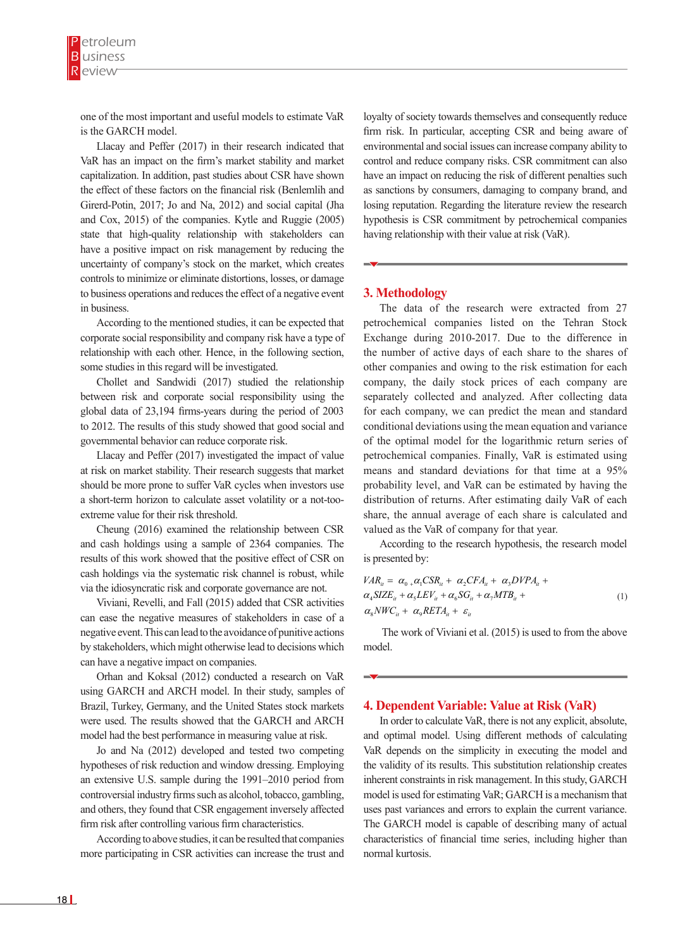one of the most important and useful models to estimate VaR is the GARCH model.

Llacay and Peffer (2017) in their research indicated that VaR has an impact on the firm's market stability and market capitalization. In addition, past studies about CSR have shown the effect of these factors on the financial risk (Benlemlih and Girerd-Potin, 2017; Jo and Na, 2012) and social capital (Jha and Cox, 2015) of the companies. Kytle and Ruggie (2005) state that high-quality relationship with stakeholders can have a positive impact on risk management by reducing the uncertainty of company's stock on the market, which creates controls to minimize or eliminate distortions, losses, or damage to business operations and reduces the effect of a negative event in business.

According to the mentioned studies, it can be expected that corporate social responsibility and company risk have a type of relationship with each other. Hence, in the following section, some studies in this regard will be investigated.

Chollet and Sandwidi (2017) studied the relationship between risk and corporate social responsibility using the global data of 23,194 firms-years during the period of 2003 to 2012. The results of this study showed that good social and governmental behavior can reduce corporate risk.

Llacay and Peffer (2017) investigated the impact of value at risk on market stability. Their research suggests that market should be more prone to suffer VaR cycles when investors use a short-term horizon to calculate asset volatility or a not-tooextreme value for their risk threshold.

Cheung (2016) examined the relationship between CSR and cash holdings using a sample of 2364 companies. The results of this work showed that the positive effect of CSR on cash holdings via the systematic risk channel is robust, while via the idiosyncratic risk and corporate governance are not.

can ease the negative measures of stakeholders in case of a negative event. This can lead to the avoidance of punitive actions by stakeholders, which might otherwise lead to decisions which can have a negative impact on companies.

Orhan and Koksal (2012) conducted a research on VaR using GARCH and ARCH model. In their study, samples of Brazil, Turkey, Germany, and the United States stock markets were used. The results showed that the GARCH and ARCH model had the best performance in measuring value at risk.

Jo and Na (2012) developed and tested two competing hypotheses of risk reduction and window dressing. Employing an extensive U.S. sample during the 1991–2010 period from controversial industry firms such as alcohol, tobacco, gambling, and others, they found that CSR engagement inversely affected firm risk after controlling various firm characteristics.

According to above studies, it can be resulted that companies more participating in CSR activities can increase the trust and

loyalty of society towards themselves and consequently reduce firm risk. In particular, accepting CSR and being aware of environmental and social issues can increase company ability to control and reduce company risks. CSR commitment can also have an impact on reducing the risk of different penalties such as sanctions by consumers, damaging to company brand, and losing reputation. Regarding the literature review the research hypothesis is CSR commitment by petrochemical companies having relationship with their value at risk (VaR).

## **3. Methodology**

The data of the research were extracted from 27 petrochemical companies listed on the Tehran Stock Exchange during 2010-2017. Due to the difference in the number of active days of each share to the shares of other companies and owing to the risk estimation for each company, the daily stock prices of each company are separately collected and analyzed. After collecting data for each company, we can predict the mean and standard conditional deviations using the mean equation and variance of the optimal model for the logarithmic return series of petrochemical companies. Finally, VaR is estimated using means and standard deviations for that time at a 95% probability level, and VaR can be estimated by having the distribution of returns. After estimating daily VaR of each share, the annual average of each share is calculated and valued as the VaR of company for that year.

According to the research hypothesis, the research model is presented by:

Viviani, Revelli, and Fall (2015) added that CSR activities 0 1 2 3 4 5 6 7 *it it it it it it it it VAR CSR CFA DVPA SIZE LEV SG MTB* αα α α α α α α = + + + + ++ + <sup>+</sup> 0 1 2 3 4 5 6 7 8 9 *it it it it it it it it it it it VAR CSR CFA DVPA SIZE LEV SG MTB NWC RETA* αα α α α α α α αα ε = + + + + ++ + <sup>+</sup> + + 0 1 2 3 4 5 6 7 8 9 *it it it it it it it it it it it VAR CSR CFA DVPA SIZE LEV SG MTB NWC RETA* αα α α α α α α αα ε = + + + + ++ + <sup>+</sup> + + (1)

 The work of Viviani et al. (2015) is used to from the above model.

## **4. Dependent Variable: Value at Risk (VaR)**

In order to calculate VaR, there is not any explicit, absolute, and optimal model. Using different methods of calculating VaR depends on the simplicity in executing the model and the validity of its results. This substitution relationship creates inherent constraints in risk management. In this study, GARCH model is used for estimating VaR; GARCH is a mechanism that uses past variances and errors to explain the current variance. The GARCH model is capable of describing many of actual characteristics of financial time series, including higher than normal kurtosis.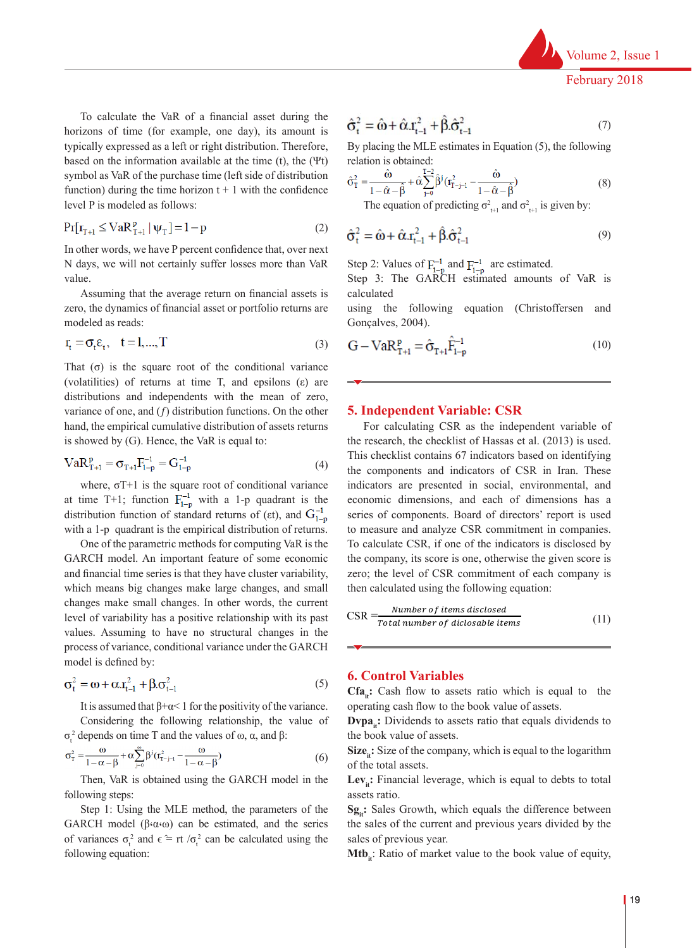

For calculating CSR as the independent variable of the research, the checklist of Hassas et al. (2013)

 $\mathbf v$  a positive relationship with its past values. Assuming to have no structural changes in  $\mathbf v$ 

variability has a positive relationship with its past values. Assuming to have no structural changes in

 $\mathbf{e}$  series of dimensions has a series of components. Board of directors' report is used to measure and analyzes

February 2018  $\mathbf{v}$  $F$ ebruary 2018  $r$ e bilitary  $2018$ 

To calculate the VaR of a financial asset during the  $\hat{\sigma}^2 = \hat{\omega} + \hat{\alpha} r^2 + \hat{\beta} \hat{\sigma}^2$ horizons of time (for example, one day), its amount is  $\mathbf{O}_{t} = \mathbf{O} + \alpha \cdot \mathbf{I}_{t-1} + \mathbf{p} \cdot \mathbf{O}_{t-1}$ typically expressed as a left or right distribution. Therefore, By placing than based on the information available at the time  $(t)$ , the  $(\Psi t)$  relation is obtained: symbol as VaR of the purchase time (left side of distribution  $\hat{\sigma}^2 = \frac{\hat{\omega}}{r^2} + \hat{\alpha} \sum_{k=1}^{T-2} \hat{\beta}^j (r^2)$ function) during the time horizon t + 1 with the confidence  $0_T = \frac{0_T}{1 - \hat{\alpha} - \hat{\beta}} + \frac{0}{\hat{\beta}} \int_{\hat{\beta}}^{\hat{\beta}} (1 - \hat{\beta})^2 (1 - \hat{\beta})^2$ level P is modeled as follows: The equation **the time the time horizon** *the confidence* as follows: and  $\sigma^2$ , the equation of predicting  $\sigma^2$ , and  $\sigma^2$ , is given by:

In order to calculate VaR, there is not any explicit, absolute, and optimal model. Using different

$$
Pr[r_{T+1} \le VaR_{T+1}^p | \psi_T] = 1 - p
$$
 (2)  $\hat{\pi}^2 = \hat{\omega} + \hat{\omega} \hat{\pi}^2 + \hat{\beta} \hat{\pi}^2$ 

In other words, we have P percent confidence that, over next N days, we will not certainly suffer losses more than VaR value.  $\text{Ric}$  that, over hext<br>convenients  $\text{Mic}$   $\text{Ric}$   $\text{Ric}$   $\text{Ric}$   $\text{Ric}$   $\text{Ric}$   $\text{Ric}$   $\text{Ric}$   $\text{Ric}$   $\text{Ric}$   $\text{Ric}$   $\text{Ric}$   $\text{Ric}$   $\text{Ric}$   $\text{Ric}$   $\text{Ric}$   $\text{Ric}$   $\text{Ric}$   $\text{Ric}$   $\text{Ric}$   $\text{$ N days, we will not certainly suffer losses more than VaR Step 2: Values of  $F_{1-p}^{-\alpha}$  and  $F_{1-p}^{-\beta}$  are estimated.<br>Value

Assuming that the average return on financial assets is distribution of returns. Conçalves, 2004). zero, the dynamics of financial asset or portfolio returns are using the following equation (Christofferse modeled as reads:

$$
\mathbf{r}_{t} = \boldsymbol{\sigma}_{t}\mathbf{\varepsilon}_{t}, \quad t = 1,...,T
$$
\n
$$
\text{(3)} \quad \mathbf{G} - \mathbf{V}\mathbf{a}\mathbf{R}_{\tau,t}^{\mathbf{p}} = \hat{\boldsymbol{\sigma}}_{\tau,t}\hat{\mathbf{F}}_{t}^{-1}
$$

That  $(\sigma)$  is the square root of the conditional variance (volatilities) of returns at time T, and epsilons ( $\varepsilon$ ) are distributions and independents with the mean of zero,<br> $\overline{G}$ . Hence, the mean of  $\overline{G}$ . Hence, the mean of  $\overline{G}$ . Hence, the mean of  $\overline{G}$ . Hence, the mean of  $\overline{G}$ . Hence, the mean of  $\overline{G}$ . Hence, the me variance of one, and  $(y)$  assists and an encoderate to the empirical cumulative distribution of assets returns variance of one, and  $(f)$  distribution functions. On the other is showed by (G). Hence, the VaR is equal to: is used. This checklist contains 67 indicators based on identifying the components and indicators of is used. This checklist contains 67 indicators based on identifying the components and indicators of  $\alpha$ **Independent Variable: CSR** 

$$
VaR_{T+1}^{p} = \sigma_{T+1}F_{1-p}^{-1} = G_{1-p}^{-1}
$$
\n(4)

where,  $\sigma_1 + 1$  is the square root of conditional variance at indicators are pr distribution function of standard returns of (*εt*), and  $G_{1-p}^{-1}$  series of components. Board of directors' report is used<br>with a l *n*, and cannot is the applicable distribution of actume. with a 1-p quadrant is the empirical distribution of returns. to measure and analyze G where,  $\sigma T+1$  is the square root of conditional variance at time T+1; function  $F_{1-p}^{1-p}$  with a 1-p quadrant is the economic dimensions, and each of d<br>distribution function of standard astume of (ct), and  $G^{-1}$ 

One of the parametric methods for computing VaR is the To calculate CSR, if one of the indicator GARCH model. An important feature of some economic the company, its score is one, otherwise t and financial time series is that they have cluster variability, zero; the level of CSR commitment of content of the level of CSR commitment of the level of CSR commitment of the level of CSR commitment of the level of CSR which means big changes make large changes, and small then calculated using the following equation: changes make small changes. In other words, the current  $Number of terms discussed$ values. Assuming to have no structural changes in the process of variance, conditional variance under the GARCH model is defined by:<br>
6. Control Variables level of variability has a positive relationship with its past  $CSR = \frac{Number\ of\ items\ disclosed}{Total\ number\ of\ diclosable\ items}$  (11) Assuming to have no structural changes in the<br>of variance, conditional variance under the GARCH  $\rightarrow$ <br>s defined by:  $\frac{6}{\sqrt{6}}$  Control Variables process of variance, conditional variance under the GARCH  $\rightarrow$  $\overline{C}$  of variability has a positive relationship with its past  $\overline{C}$  and  $\overline{C}$   $\overline{C}$   $\overline{C}$ 

$$
\sigma_t^2 = \omega + \alpha \cdot r_{t-1}^2 + \beta \cdot \sigma_{t-1}^2
$$
\n(5) 6. Co  
\n
$$
\sigma_t^2 = \omega + \alpha \cdot r_{t-1}^2 + \beta \cdot \sigma_{t-1}^2
$$

considering the following relationship, the value of  $D_{\mathbf{r}}\mathbf{p}_{\mathbf{a}_{\mathbf{i}}\mathbf{t}}$ . By  $\mathbf{p}_{\mathbf{a}_{\mathbf{i}}\mathbf{t}}$ . It is assumed that β+α< 1 for the positivity of the variance. operating cash flow to the l  $T_{1/2}$  assumed that β α 1 for the positivity of the variance.<br>Considering the following relationship, the value of  $\mathrm{o}_{\mathrm{t}}$  ael

$$
\sigma_{\rm T}^2 = \frac{\omega}{1 - \alpha - \beta} + \alpha \sum_{j=0}^{\infty} \beta^j (r_{\rm T-j-1}^2 - \frac{\omega}{1 - \alpha - \beta})
$$
\n(6) Size<sub>it</sub>: Size of the company, which is equa  
of the total assets.

 $\frac{1}{16}$ , the is commed using the GARCH model in the  $\frac{2\epsilon}{16}$ , the manche revealled, which is equal to decide Then, VaR is obtained using the GARCH model in the following steps:  $\qquad \qquad \qquad \text{assets ratio.}$ 

GARCH model ( $\beta$ ( $\alpha$ <sup>( $\alpha$ </sup>)) can be estimated, and the series the sales of the current and previous years di lowing equation:  $Mtb_{it}$ : Ratio of market value to the book value of equity, Step 1: Using the MLE method, the parameters of the  $\mathbf{Sg}_{ii}$ : Sales Grov of variances  $\sigma_t^2$  and  $\epsilon = \pi / \sigma_t^2$  can be calculated using the sales of previous following equation:

$$
\hat{\sigma}_t^2 = \hat{\omega} + \hat{\alpha} x_{t-1}^2 + \hat{\beta} \cdot \hat{\sigma}_{t-1}^2 \tag{7}
$$

By placing the MLE estimates in Equation (5), the following relation is obtained:  $S<sub>1</sub>(\mu\mu\sigma\sigma)(\sigma),$  are ronowing

$$
\hat{\sigma}_T^2 = \frac{\hat{\omega}}{1 - \hat{\alpha} - \hat{\beta}} + \hat{\alpha} \sum_{j=0}^{T-2} \hat{\beta}^j (r_{T-j-1}^2 - \frac{\hat{\omega}}{1 - \hat{\alpha} - \hat{\beta}})
$$
(8)

The equation of predicting  $\sigma^2_{t+1}$  and  $\sigma^2_{t+1}$  is given by: (8) (1995) (1996) (1996) (1996) (1996) (1996) (1996) (1996) (1996) (1996) (1996) (1996) (1996) (1996) (1996) (1996) (1996) (1996) (1996) (1996) (1996) (1996) (1996) (1996) (1996) (1996) (1996) (1996) (1996) (1996) (1996) (  $\mathbb{R}^{n}$  and  $\mathbb{R}^{n}$  and  $\mathbb{R}^{n}$  and  $\mathbb{R}^{n}$  and  $\mathbb{R}^{n}$  and  $\mathbb{R}^{n}$  and  $\mathbb{R}^{n}$  and  $\mathbb{R}^{n}$  and  $\mathbb{R}^{n}$  and  $\mathbb{R}^{n}$  and  $\mathbb{R}^{n}$  and  $\mathbb{R}^{n}$  and  $\mathbb{R}^{n}$  and  $\mathbb{R}^{n}$  a

$$
\hat{\sigma}_t^2 = \hat{\omega} + \hat{\alpha} \cdot \mathbf{r}_{t-1}^2 + \hat{\beta} \cdot \hat{\sigma}_{t-1}^2
$$
 (9)

Eep 2: Values of  $F_{1-p}^{-1}$  and  $F_{1-p}^{-1}$  are estimated. Step 2: Values of  $F^{-1}_{1-p}$  and  $F^{-1}_{1-p}$  are estimated.  $T_{1-p}^{-1}$  are estimated. Step 2: Values of  $F_{1-p}^{-1}$  and  $F_{1-p}^{-1}$  are estimated.

 $\text{Value.}$  and  $\text{Value}$  are  $\text{Value}$  as  $\text{Value}$  assets in  $\text{Value}$  assets in  $\text{Value}$  assets of  $\text{Value}$  assets of  $\text{Value}$  and  $\text{Value}$  are  $\text{Value}$  and  $\text{Value}$  and  $\text{Value}$  are  $\text{Value}$  and  $\text{Value}$  and  $\text{Value}$  and  $\text{Value}$  and  $\text{Value$ Step 3: The GARCH estimated amounts of VaR is calculated using the following equation Step 3: The GARCH estimated Step 2: Values of  $F_{1-p}^{-1}$  and  $F_{1-p}^{-1}$  are estimated.<br>Step 3: The GARCH estimated amounts of VaR is calculated and Gonzalves, 2004 **The square root of conditional variance at time** *T***<sub>1</sub>; function**  $\theta$ *T***<sub>1</sub>;** *function* $\theta$ *T***<sub>1</sub>;** *function*  $\theta$ *function*  $\theta$ *function*  $\theta$ *function*  $\theta$ *function*  $\theta$ *function**function**function**func* where, *σT*+1 is the square root of conditional variance at time *T*+1; function ���� Step 3: The GARCH estimated amounts of VaR is calculated Step 3: The GARCH estimated amounts of  $\lambda$ (7)

e using the following equation (Christoffersen and using the following equation (Christoffersen and  $\lim_{n \to \infty}$  the following equation (Christoffersen and

$$
\mathbf{r}_{t} = \sigma_{t} \mathbf{\varepsilon}_{t}, \quad t = 1,...,T
$$
\n(3) 
$$
\mathbf{G} - \mathbf{V} \mathbf{a} \mathbf{R}_{T+1}^{p} = \hat{\sigma}_{T+1} \hat{\mathbf{F}}_{1-p}^{-1}
$$
\n(10)

## 5. Independent Variable: CSR  $t \times T$  is defined by:

 $(4)$  the components and indicators of CSR in Iran. These s are presented in social, env  $\frac{1}{2}$  with a 1-p<sub>1</sub>  $\frac{1}{2}$   $\frac{1}{2}$   $\frac{1}{2}$   $\frac{1}{2}$  $\frac{1}{2}$  is the set of components. Both of ancients report is used<br>irical distribution of returns. to measure and analyze CSR commitment in companies. holds for computing VaR is the To calculate CSR, if one of the indicators is disclosed by al time series is that they have cluster variability, zero; the level of CSR commitment of each company is the company, its score is one, otherwise the given score is large changes, and small then calculated using the following equation: s For calculating CSR as the independent variable of the research, the checklist of Hassas et al.  $(2013)$  is used. This checklist contains 67 indicators based on identifying indicators are presented in social, environmental, and<br>economic dimensions, and each of dimensions has a **Components which increases** of operating the book value of  $\frac{1}{\sqrt{2}}$ indicators are presented in social, environmental, and indicators are presented in social, environmental, and series of components. Board of directors' report is used  $\frac{1}{2}$  $t_{\rm eff}$  calculated using the following equation:

$$
CSR = \frac{Number\ of\ items\ disclosed}{Total\ number\ of\ diclosable\ items} \tag{11}
$$

#### $\overline{a}$  depends on the values of  $\overline{a}$ **6. Control Variables**  $\alpha$  variables

**Control Variables** 

operating cash flow to the book value of assets.  $(5)$  **Cfa**  $\cdot$  Cash flow to assets ratio which is equal to the  $\mathbf{Cra}_{it}^{\bullet}$ . Cash now to assets fatto w  $Cfa_{ii}$ : Cash flow to assets ratio which is equal to the

elationship, the value of  $\text{Dvpa}_{it}$ : Dividends to assets ratio that equals dividends to the book value of assets.  $\overline{S}$  3. The Garch estimated using the following equation of  $\overline{S}$  is calculated using the following equation equation equation equation equation equation equation equation equation equation equation equation equati  $\Omega$  3: The Garch estimated amounts of  $\Omega$  is calculated using the following equation equation equation equation equation equation equation equation equation equation equation equation equation equation equation equation

 $\epsilon$  of the total assets.  $\begin{array}{ccc} \text{if } \text{as sets.} \end{array}$ Size<sub>it</sub>: Size of the company, which is equal to the logarithm

the GARCH model in the  $\text{Lev}_{it}$ : Financial leverage, which is equal to debts to total  $\overline{1}$ assets ratio.

nethod, the parameters of the  $Sg_{it}$ : Sales Growth, which equals the difference between calculated using the sales of previous year.  $\frac{d}{dx}$  the sales of the current and previous years divided by the revious vear. This checklist contains 67 indicators based on identifying the components and indicators and indicators of  $\mathbb{R}$ 

 $\mathcal{A} = \mathcal{A} + \mathcal{A}$  (11) and (11) and (11) and (11) and (11) and (11) and (11) and (11) and (11) and (11) and (11) and (11) and (11) and (11) and (11) and (11) and (11) and (11) and (11) and (11) and (11) and (11) and

 $\mathcal{A} = \mathcal{A} + \mathcal{A} + \mathcal{A} + \mathcal{A} + \mathcal{A} + \mathcal{A} + \mathcal{A} + \mathcal{A} + \mathcal{A} + \mathcal{A} + \mathcal{A} + \mathcal{A} + \mathcal{A} + \mathcal{A} + \mathcal{A} + \mathcal{A} + \mathcal{A} + \mathcal{A} + \mathcal{A} + \mathcal{A} + \mathcal{A} + \mathcal{A} + \mathcal{A} + \mathcal{A} + \mathcal{A} + \mathcal{A} + \mathcal{A} + \mathcal{A} + \mathcal{A} + \mathcal{A} + \mathcal$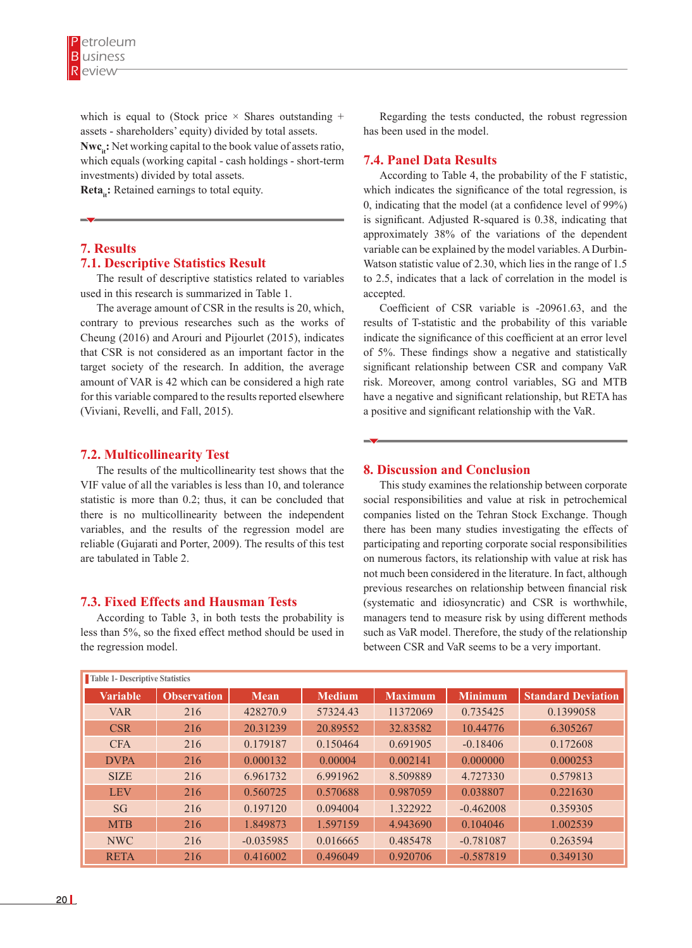which is equal to (Stock price  $\times$  Shares outstanding + assets - shareholders' equity) divided by total assets. **Nwc**<sub>it</sub>: Net working capital to the book value of assets ratio, which equals (working capital - cash holdings - short-term investments) divided by total assets.

**Reta<sub>i</sub>:** Retained earnings to total equity.

# **7. Results 7.1. Descriptive Statistics Result**

The result of descriptive statistics related to variables used in this research is summarized in Table 1.

The average amount of CSR in the results is 20, which, contrary to previous researches such as the works of Cheung (2016) and Arouri and Pijourlet (2015), indicates that CSR is not considered as an important factor in the target society of the research. In addition, the average amount of VAR is 42 which can be considered a high rate for this variable compared to the results reported elsewhere (Viviani, Revelli, and Fall, 2015).

## **7.2. Multicollinearity Test**

The results of the multicollinearity test shows that the VIF value of all the variables is less than 10, and tolerance statistic is more than 0.2; thus, it can be concluded that there is no multicollinearity between the independent variables, and the results of the regression model are reliable (Gujarati and Porter, 2009). The results of this test are tabulated in Table 2.

## **7.3. Fixed Effects and Hausman Tests**

According to Table 3, in both tests the probability is less than 5%, so the fixed effect method should be used in the regression model.

Regarding the tests conducted, the robust regression has been used in the model.

## **7.4. Panel Data Results**

According to Table 4, the probability of the F statistic, which indicates the significance of the total regression, is 0, indicating that the model (at a confidence level of 99%) is significant. Adjusted R-squared is 0.38, indicating that approximately 38% of the variations of the dependent variable can be explained by the model variables. A Durbin-Watson statistic value of 2.30, which lies in the range of 1.5 to 2.5, indicates that a lack of correlation in the model is accepted.

Coefficient of CSR variable is -20961.63, and the results of T-statistic and the probability of this variable indicate the significance of this coefficient at an error level of 5%. These findings show a negative and statistically significant relationship between CSR and company VaR risk. Moreover, among control variables, SG and MTB have a negative and significant relationship, but RETA has a positive and significant relationship with the VaR.

## **8. Discussion and Conclusion**

This study examines the relationship between corporate social responsibilities and value at risk in petrochemical companies listed on the Tehran Stock Exchange. Though there has been many studies investigating the effects of participating and reporting corporate social responsibilities on numerous factors, its relationship with value at risk has not much been considered in the literature. In fact, although previous researches on relationship between financial risk (systematic and idiosyncratic) and CSR is worthwhile, managers tend to measure risk by using different methods such as VaR model. Therefore, the study of the relationship between CSR and VaR seems to be a very important.

| Table 1- Descriptive Statistics |                    |             |               |                |                |                           |  |
|---------------------------------|--------------------|-------------|---------------|----------------|----------------|---------------------------|--|
| <b>Variable</b>                 | <b>Observation</b> | <b>Mean</b> | <b>Medium</b> | <b>Maximum</b> | <b>Minimum</b> | <b>Standard Deviation</b> |  |
| <b>VAR</b>                      | 216                | 428270.9    | 57324.43      | 11372069       | 0.735425       | 0.1399058                 |  |
| <b>CSR</b>                      | 216                | 20.31239    | 20.89552      | 32.83582       | 10.44776       | 6.305267                  |  |
| <b>CFA</b>                      | 216                | 0.179187    | 0.150464      | 0.691905       | $-0.18406$     | 0.172608                  |  |
| <b>DVPA</b>                     | 216                | 0.000132    | 0.00004       | 0.002141       | 0.000000       | 0.000253                  |  |
| <b>SIZE</b>                     | 216                | 6.961732    | 6.991962      | 8.509889       | 4.727330       | 0.579813                  |  |
| <b>LEV</b>                      | 216                | 0.560725    | 0.570688      | 0.987059       | 0.038807       | 0.221630                  |  |
| <b>SG</b>                       | 216                | 0.197120    | 0.094004      | 1.322922       | $-0.462008$    | 0.359305                  |  |
| <b>MTB</b>                      | 216                | 1.849873    | 1.597159      | 4.943690       | 0.104046       | 1.002539                  |  |
| NWC                             | 216                | $-0.035985$ | 0.016665      | 0.485478       | $-0.781087$    | 0.263594                  |  |
| <b>RETA</b>                     | 216                | 0.416002    | 0.496049      | 0.920706       | $-0.587819$    | 0.349130                  |  |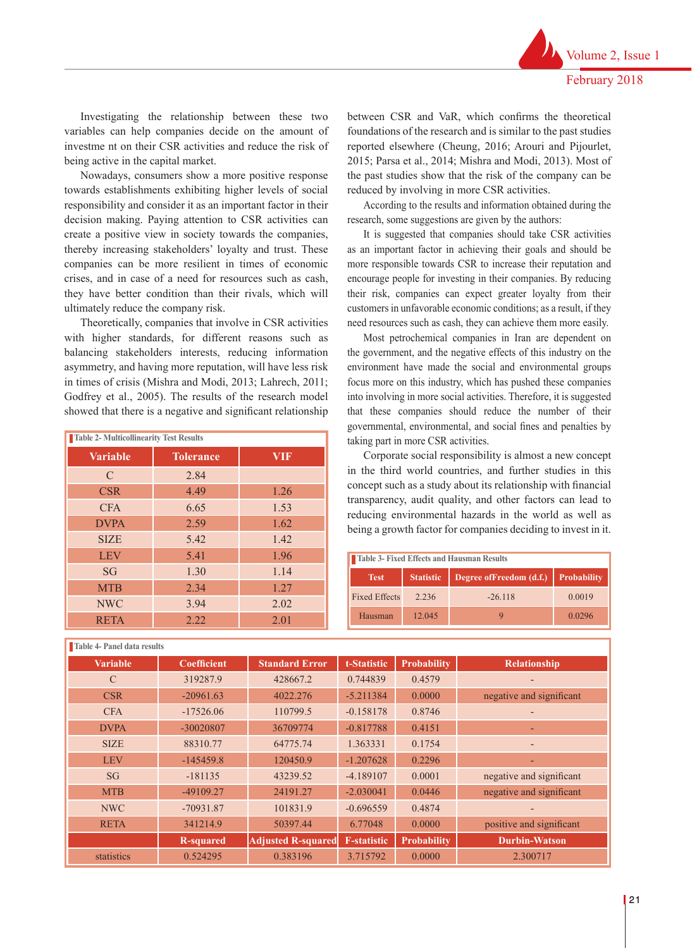Investigating the relationship between these two variables can help companies decide on the amount of investme nt on their CSR activities and reduce the risk of being active in the capital market.

Nowadays, consumers show a more positive response towards establishments exhibiting higher levels of social responsibility and consider it as an important factor in their decision making. Paying attention to CSR activities can create a positive view in society towards the companies, thereby increasing stakeholders' loyalty and trust. These companies can be more resilient in times of economic crises, and in case of a need for resources such as cash, they have better condition than their rivals, which will ultimately reduce the company risk.

Theoretically, companies that involve in CSR activities with higher standards, for different reasons such as balancing stakeholders interests, reducing information asymmetry, and having more reputation, will have less risk in times of crisis (Mishra and Modi, 2013; Lahrech, 2011; Godfrey et al., 2005). The results of the research model showed that there is a negative and significant relationship

| <b>Table 2- Multicollinearity Test Results</b> |                  |            |  |  |  |
|------------------------------------------------|------------------|------------|--|--|--|
| <b>Variable</b>                                | <b>Tolerance</b> | <b>VIF</b> |  |  |  |
| $\mathcal{C}$                                  | 2.84             |            |  |  |  |
| <b>CSR</b>                                     | 4.49             | 1.26       |  |  |  |
| <b>CFA</b>                                     | 6.65             | 1.53       |  |  |  |
| <b>DVPA</b>                                    | 2.59             | 1.62       |  |  |  |
| <b>SIZE</b>                                    | 5.42             | 1.42       |  |  |  |
| <b>LEV</b>                                     | 5.41             | 1.96       |  |  |  |
| SG                                             | 1.30             | 1.14       |  |  |  |
| <b>MTB</b>                                     | 2.34             | 1.27       |  |  |  |
| <b>NWC</b>                                     | 3.94             | 2.02       |  |  |  |
| <b>RETA</b>                                    | 2.22             | 2.01       |  |  |  |

**Table 4- Panel data results**

between CSR and VaR, which confirms the theoretical foundations of the research and is similar to the past studies reported elsewhere (Cheung, 2016; Arouri and Pijourlet, 2015; Parsa et al., 2014; Mishra and Modi, 2013). Most of the past studies show that the risk of the company can be reduced by involving in more CSR activities.

According to the results and information obtained during the research, some suggestions are given by the authors:

It is suggested that companies should take CSR activities as an important factor in achieving their goals and should be more responsible towards CSR to increase their reputation and encourage people for investing in their companies. By reducing their risk, companies can expect greater loyalty from their customers in unfavorable economic conditions; as a result, if they need resources such as cash, they can achieve them more easily.

Most petrochemical companies in Iran are dependent on the government, and the negative effects of this industry on the environment have made the social and environmental groups focus more on this industry, which has pushed these companies into involving in more social activities. Therefore, it is suggested that these companies should reduce the number of their governmental, environmental, and social fines and penalties by taking part in more CSR activities.

Corporate social responsibility is almost a new concept in the third world countries, and further studies in this concept such as a study about its relationship with financial transparency, audit quality, and other factors can lead to reducing environmental hazards in the world as well as being a growth factor for companies deciding to invest in it.

| Table 3- Fixed Effects and Hausman Results |                  |                                      |        |  |  |
|--------------------------------------------|------------------|--------------------------------------|--------|--|--|
| <b>Test</b>                                | <b>Statistic</b> | Degree of Freedom (d.f.) Probability |        |  |  |
| <b>Fixed Effects</b>                       | 2.236            | $-26.118$                            | 0.0019 |  |  |
| Hausman                                    | 12.045           |                                      | 0.0296 |  |  |

| TAUIC THAIRT UALA LESUILS |                    |                           |                    |                    |                          |  |
|---------------------------|--------------------|---------------------------|--------------------|--------------------|--------------------------|--|
| <b>Variable</b>           | <b>Coefficient</b> | <b>Standard Error</b>     | t-Statistic        | <b>Probability</b> | <b>Relationship</b>      |  |
| $\mathcal{C}$             | 319287.9           | 428667.2                  | 0.744839           | 0.4579             | $\overline{\phantom{0}}$ |  |
| <b>CSR</b>                | $-20961.63$        | 4022.276                  | $-5.211384$        | 0.0000             | negative and significant |  |
| <b>CFA</b>                | $-17526.06$        | 110799.5                  | $-0.158178$        | 0.8746             | $\overline{\phantom{0}}$ |  |
| <b>DVPA</b>               | -30020807          | 36709774                  | $-0.817788$        | 0.4151             | -                        |  |
| <b>SIZE</b>               | 88310.77           | 64775.74                  | 1.363331           | 0.1754             | $\overline{\phantom{a}}$ |  |
| <b>LEV</b>                | $-145459.8$        | 120450.9                  | $-1.207628$        | 0.2296             | -                        |  |
| SG                        | $-181135$          | 43239.52                  | $-4.189107$        | 0.0001             | negative and significant |  |
| <b>MTB</b>                | $-49109.27$        | 24191.27                  | $-2.030041$        | 0.0446             | negative and significant |  |
| <b>NWC</b>                | $-70931.87$        | 101831.9                  | $-0.696559$        | 0.4874             |                          |  |
| <b>RETA</b>               | 341214.9           | 50397.44                  | 6.77048            | 0.0000             | positive and significant |  |
|                           | <b>R-squared</b>   | <b>Adjusted R-squared</b> | <b>F-statistic</b> | <b>Probability</b> | <b>Durbin-Watson</b>     |  |
| statistics                | 0.524295           | 0.383196                  | 3.715792           | 0.0000             | 2.300717                 |  |